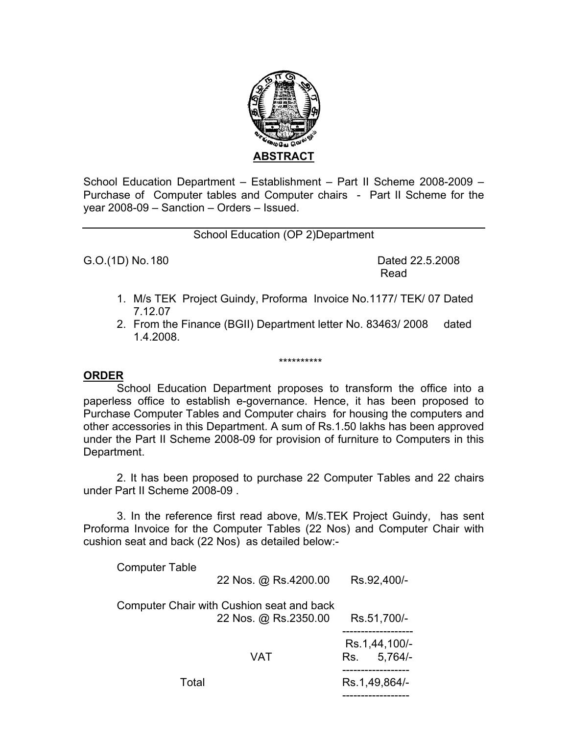

School Education Department – Establishment – Part II Scheme 2008-2009 – Purchase of Computer tables and Computer chairs - Part II Scheme for the year 2008-09 – Sanction – Orders – Issued.

## School Education (OP 2)Department

G.O.(1D) No. 180 **Dated 22.5.2008** 

**Read and Security Contract Contract Contract Contract Contract Contract Contract Contract Contract Contract Co** 

- 1. M/s TEK Project Guindy, Proforma Invoice No.1177/ TEK/ 07 Dated 7.12.07
- 2. From the Finance (BGII) Department letter No. 83463/ 2008 dated 1.4.2008.

\*\*\*\*\*\*\*\*\*\*

## **ORDER**

 School Education Department proposes to transform the office into a paperless office to establish e-governance. Hence, it has been proposed to Purchase Computer Tables and Computer chairs for housing the computers and other accessories in this Department. A sum of Rs.1.50 lakhs has been approved under the Part II Scheme 2008-09 for provision of furniture to Computers in this Department.

2. It has been proposed to purchase 22 Computer Tables and 22 chairs under Part II Scheme 2008-09 .

 3. In the reference first read above, M/s.TEK Project Guindy, has sent Proforma Invoice for the Computer Tables (22 Nos) and Computer Chair with cushion seat and back (22 Nos) as detailed below:-

| <b>Computer Table</b>                     |                      |               |               |  |
|-------------------------------------------|----------------------|---------------|---------------|--|
|                                           | 22 Nos. @ Rs.4200.00 |               | Rs.92,400/-   |  |
| Computer Chair with Cushion seat and back |                      |               |               |  |
|                                           | 22 Nos. @ Rs.2350.00 |               | Rs.51,700/-   |  |
|                                           |                      |               | Rs.1,44,100/- |  |
|                                           | VAT                  | Rs.           | $5,764/-$     |  |
| Total                                     |                      | Rs.1,49,864/- |               |  |
|                                           |                      |               |               |  |